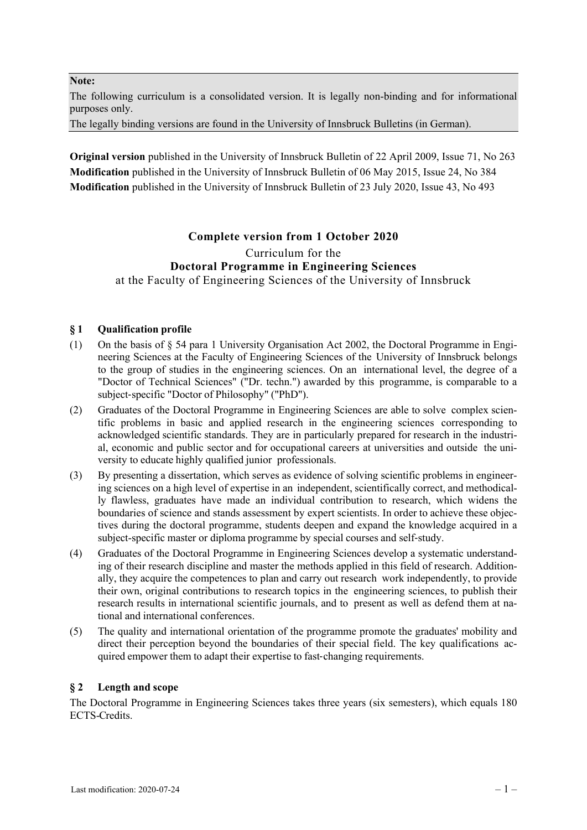#### **Note:**

The following curriculum is a consolidated version. It is legally non-binding and for informational purposes only.

The legally binding versions are found in the University of Innsbruck Bulletins (in German).

**Original version** published in the University of Innsbruck Bulletin of 22 April 2009, Issue 71, No 263 **Modification** published in the University of Innsbruck Bulletin of 06 May 2015, Issue 24, No 384 **Modification** published in the University of Innsbruck Bulletin of 23 July 2020, Issue 43, No 493

# **Complete version from 1 October 2020**

## Curriculum for the **Doctoral Programme in Engineering Sciences**  at the Faculty of Engineering Sciences of the University of Innsbruck

## **§ 1 Qualification profile**

- (1) On the basis of § 54 para 1 University Organisation Act 2002, the Doctoral Programme in Engineering Sciences at the Faculty of Engineering Sciences of the University of Innsbruck belongs to the group of studies in the engineering sciences. On an international level, the degree of a "Doctor of Technical Sciences" ("Dr. techn.") awarded by this programme, is comparable to a subject-specific "Doctor of Philosophy" ("PhD").
- (2) Graduates of the Doctoral Programme in Engineering Sciences are able to solve complex scientific problems in basic and applied research in the engineering sciences corresponding to acknowledged scientific standards. They are in particularly prepared for research in the industrial, economic and public sector and for occupational careers at universities and outside the university to educate highly qualified junior professionals.
- (3) By presenting a dissertation, which serves as evidence of solving scientific problems in engineering sciences on a high level of expertise in an independent, scientifically correct, and methodically flawless, graduates have made an individual contribution to research, which widens the boundaries of science and stands assessment by expert scientists. In order to achieve these objectives during the doctoral programme, students deepen and expand the knowledge acquired in a subject-specific master or diploma programme by special courses and self-study.
- (4) Graduates of the Doctoral Programme in Engineering Sciences develop a systematic understanding of their research discipline and master the methods applied in this field of research. Additionally, they acquire the competences to plan and carry out research work independently, to provide their own, original contributions to research topics in the engineering sciences, to publish their research results in international scientific journals, and to present as well as defend them at national and international conferences.
- (5) The quality and international orientation of the programme promote the graduates' mobility and direct their perception beyond the boundaries of their special field. The key qualifications acquired empower them to adapt their expertise to fast-changing requirements.

## **§ 2 Length and scope**

The Doctoral Programme in Engineering Sciences takes three years (six semesters), which equals 180 ECTS-Credits.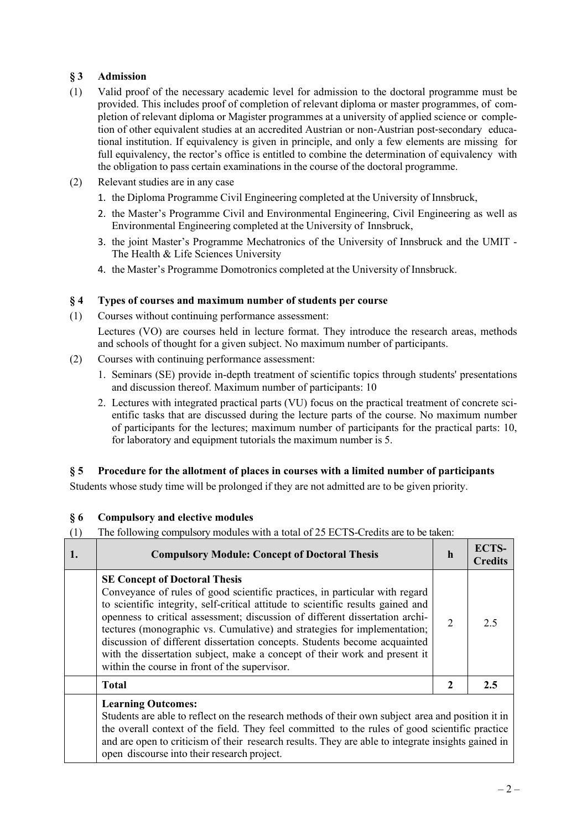# **§ 3 Admission**

- (1) Valid proof of the necessary academic level for admission to the doctoral programme must be provided. This includes proof of completion of relevant diploma or master programmes, of completion of relevant diploma or Magister programmes at a university of applied science or completion of other equivalent studies at an accredited Austrian or non-Austrian post-secondary educational institution. If equivalency is given in principle, and only a few elements are missing for full equivalency, the rector's office is entitled to combine the determination of equivalency with the obligation to pass certain examinations in the course of the doctoral programme.
- (2) Relevant studies are in any case
	- 1. the Diploma Programme Civil Engineering completed at the University of Innsbruck,
	- 2. the Master's Programme Civil and Environmental Engineering, Civil Engineering as well as Environmental Engineering completed at the University of Innsbruck,
	- 3. the joint Master's Programme Mechatronics of the University of Innsbruck and the UMIT The Health & Life Sciences University
	- 4. the Master's Programme Domotronics completed at the University of Innsbruck.

#### **§ 4 Types of courses and maximum number of students per course**

(1) Courses without continuing performance assessment:

Lectures (VO) are courses held in lecture format. They introduce the research areas, methods and schools of thought for a given subject. No maximum number of participants.

(2) Courses with continuing performance assessment:

open discourse into their research project.

- 1. Seminars (SE) provide in-depth treatment of scientific topics through students' presentations and discussion thereof. Maximum number of participants: 10
- 2. Lectures with integrated practical parts (VU) focus on the practical treatment of concrete scientific tasks that are discussed during the lecture parts of the course. No maximum number of participants for the lectures; maximum number of participants for the practical parts: 10, for laboratory and equipment tutorials the maximum number is 5.

## **§ 5 Procedure for the allotment of places in courses with a limited number of participants**

Students whose study time will be prolonged if they are not admitted are to be given priority.

## **§ 6 Compulsory and elective modules**

(1) The following compulsory modules with a total of 25 ECTS-Credits are to be taken:

| <b>Compulsory Module: Concept of Doctoral Thesis</b>                                                                                                                                                                                                                                                                                                                                                                                                                                                                                                                            | $\mathbf h$    | <b>ECTS-</b><br><b>Credits</b> |
|---------------------------------------------------------------------------------------------------------------------------------------------------------------------------------------------------------------------------------------------------------------------------------------------------------------------------------------------------------------------------------------------------------------------------------------------------------------------------------------------------------------------------------------------------------------------------------|----------------|--------------------------------|
| <b>SE Concept of Doctoral Thesis</b><br>Conveyance of rules of good scientific practices, in particular with regard<br>to scientific integrity, self-critical attitude to scientific results gained and<br>openness to critical assessment; discussion of different dissertation archi-<br>tectures (monographic vs. Cumulative) and strategies for implementation;<br>discussion of different dissertation concepts. Students become acquainted<br>with the dissertation subject, make a concept of their work and present it<br>within the course in front of the supervisor. | $\overline{2}$ | 2.5                            |
| <b>Total</b>                                                                                                                                                                                                                                                                                                                                                                                                                                                                                                                                                                    | 2              | 2.5                            |
| <b>Learning Outcomes:</b><br>Students are able to reflect on the research methods of their own subject area and position it in<br>the overall context of the field. They feel committed to the rules of good scientific practice<br>and are open to criticism of their research results. They are able to integrate insights gained in                                                                                                                                                                                                                                          |                |                                |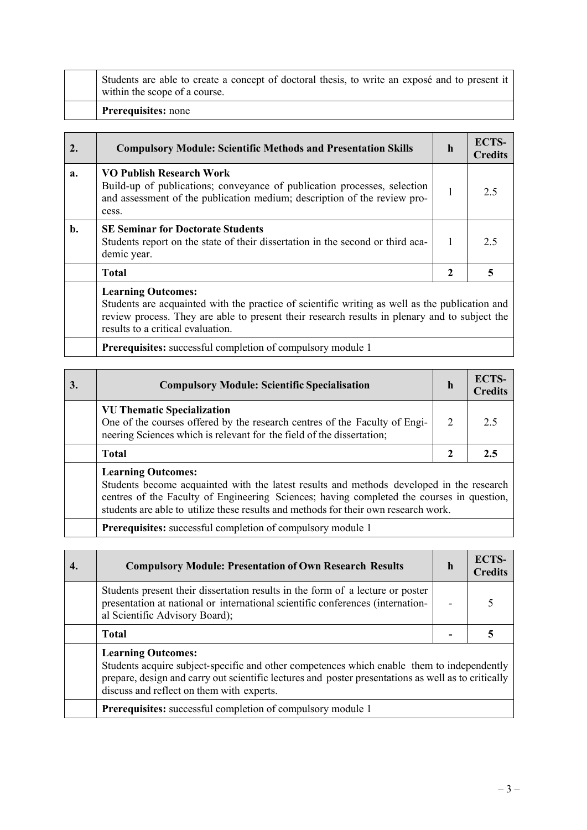| <b>Prerequisites:</b> none                                                                                                      |
|---------------------------------------------------------------------------------------------------------------------------------|
| Students are able to create a concept of doctoral thesis, to write an exposé and to present it<br>within the scope of a course. |

## 2. Compulsory Module: Scientific Methods and Presentation Skills h **ECTS Credits a. VO Publish Research Work** Build-up of publications; conveyance of publication processes, selection and assessment of the publication medium; description of the review process.  $1 \quad | \quad 2.5$ **b. SE Seminar for Doctorate Students**  Students report on the state of their dissertation in the second or third academic year. 1 2.5  **Total** 2 3 5  **Learning Outcomes:**

Students are acquainted with the practice of scientific writing as well as the publication and review process. They are able to present their research results in plenary and to subject the results to a critical evaluation.

**Prerequisites:** successful completion of compulsory module 1

| <b>Compulsory Module: Scientific Specialisation</b>                                                                                                                                      | h | ECTS-<br><b>Credits</b> |
|------------------------------------------------------------------------------------------------------------------------------------------------------------------------------------------|---|-------------------------|
| <b>VU Thematic Specialization</b><br>One of the courses offered by the research centres of the Faculty of Engi-<br>neering Sciences which is relevant for the field of the dissertation; |   |                         |
| Total                                                                                                                                                                                    |   |                         |
| <b>Learning Outcomes:</b>                                                                                                                                                                |   |                         |

Students become acquainted with the latest results and methods developed in the research centres of the Faculty of Engineering Sciences; having completed the courses in question, students are able to utilize these results and methods for their own research work.

**Prerequisites:** successful completion of compulsory module 1

| <b>Compulsory Module: Presentation of Own Research Results</b>                                                                                                                                                                                                              | $\mathbf h$ | ECTS-<br><b>Credits</b> |
|-----------------------------------------------------------------------------------------------------------------------------------------------------------------------------------------------------------------------------------------------------------------------------|-------------|-------------------------|
| Students present their dissertation results in the form of a lecture or poster<br>presentation at national or international scientific conferences (internation-<br>al Scientific Advisory Board);                                                                          |             |                         |
| <b>Total</b>                                                                                                                                                                                                                                                                |             |                         |
| <b>Learning Outcomes:</b><br>Students acquire subject-specific and other competences which enable them to independently<br>prepare, design and carry out scientific lectures and poster presentations as well as to critically<br>discuss and reflect on them with experts. |             |                         |
| <b>Prerequisites:</b> successful completion of compulsory module 1                                                                                                                                                                                                          |             |                         |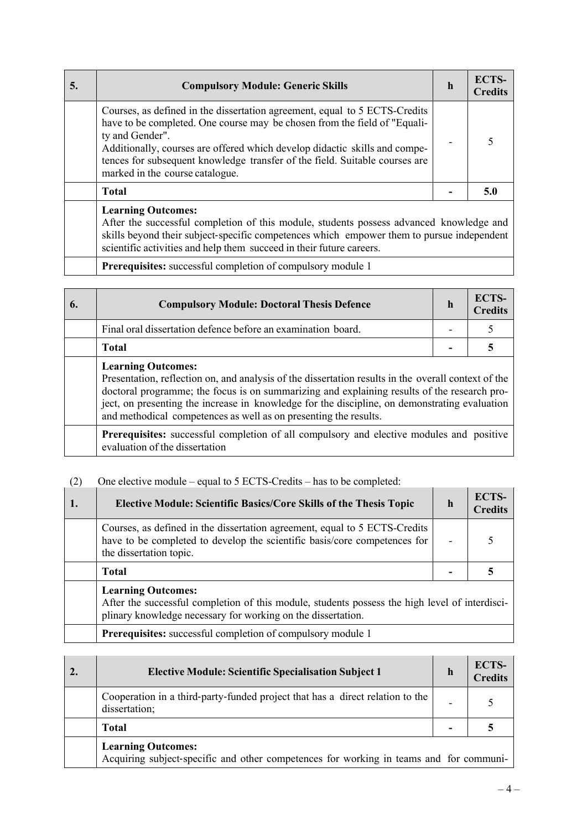| 5. | <b>Compulsory Module: Generic Skills</b>                                                                                                                                                                                                                                                                                                                                   | h | <b>ECTS-</b><br><b>Credits</b> |
|----|----------------------------------------------------------------------------------------------------------------------------------------------------------------------------------------------------------------------------------------------------------------------------------------------------------------------------------------------------------------------------|---|--------------------------------|
|    | Courses, as defined in the dissertation agreement, equal to 5 ECTS-Credits<br>have to be completed. One course may be chosen from the field of "Equali-<br>ty and Gender".<br>Additionally, courses are offered which develop didactic skills and compe-<br>tences for subsequent knowledge transfer of the field. Suitable courses are<br>marked in the course catalogue. |   |                                |
|    | <b>Total</b>                                                                                                                                                                                                                                                                                                                                                               |   | 5.0                            |
|    | <b>Learning Outcomes:</b><br>After the successful completion of this module, students possess advanced knowledge and<br>skills beyond their subject-specific competences which empower them to pursue independent                                                                                                                                                          |   |                                |

scientific activities and help them succeed in their future careers.

**Prerequisites:** successful completion of compulsory module 1

| 6. | <b>Compulsory Module: Doctoral Thesis Defence</b>                                                                                                                                                                                                                                                                                                                                                    | $\mathbf h$ | ECTS-<br><b>Credits</b> |
|----|------------------------------------------------------------------------------------------------------------------------------------------------------------------------------------------------------------------------------------------------------------------------------------------------------------------------------------------------------------------------------------------------------|-------------|-------------------------|
|    | Final oral dissertation defence before an examination board.                                                                                                                                                                                                                                                                                                                                         |             |                         |
|    | <b>Total</b>                                                                                                                                                                                                                                                                                                                                                                                         |             |                         |
|    | <b>Learning Outcomes:</b><br>Presentation, reflection on, and analysis of the dissertation results in the overall context of the<br>doctoral programme; the focus is on summarizing and explaining results of the research pro-<br>ject, on presenting the increase in knowledge for the discipline, on demonstrating evaluation<br>and methodical competences as well as on presenting the results. |             |                         |
|    | Prerequisites: successful completion of all compulsory and elective modules and positive<br>evaluation of the dissertation                                                                                                                                                                                                                                                                           |             |                         |

# (2) One elective module – equal to 5 ECTS-Credits – has to be completed:

 $\overline{\phantom{a}}$ 

| 1. | <b>Elective Module: Scientific Basics/Core Skills of the Thesis Topic</b>                                                                                                                   | $\mathbf h$ | <b>ECTS-</b><br><b>Credits</b> |
|----|---------------------------------------------------------------------------------------------------------------------------------------------------------------------------------------------|-------------|--------------------------------|
|    | Courses, as defined in the dissertation agreement, equal to 5 ECTS-Credits<br>have to be completed to develop the scientific basis/core competences for<br>the dissertation topic.          |             |                                |
|    | <b>Total</b>                                                                                                                                                                                |             |                                |
|    | <b>Learning Outcomes:</b><br>After the successful completion of this module, students possess the high level of interdisci-<br>plinary knowledge necessary for working on the dissertation. |             |                                |
|    | <b>Prerequisites:</b> successful completion of compulsory module 1                                                                                                                          |             |                                |

| 2. | <b>Elective Module: Scientific Specialisation Subject 1</b>                                                         | h | ECTS-<br><b>Credits</b> |
|----|---------------------------------------------------------------------------------------------------------------------|---|-------------------------|
|    | Cooperation in a third-party-funded project that has a direct relation to the<br>dissertation;                      | - |                         |
|    | <b>Total</b>                                                                                                        |   |                         |
|    | <b>Learning Outcomes:</b><br>Acquiring subject-specific and other competences for working in teams and for communi- |   |                         |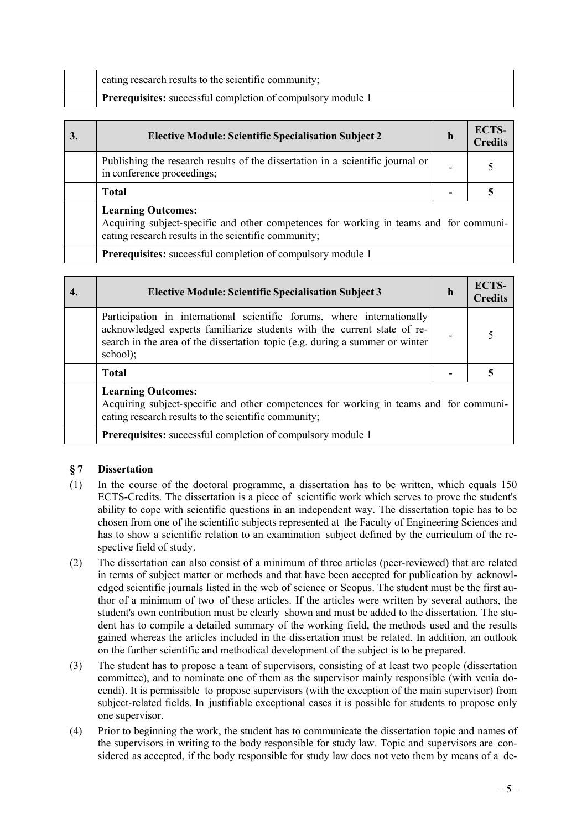| cating research results to the scientific community;               |
|--------------------------------------------------------------------|
| <b>Prerequisites:</b> successful completion of compulsory module 1 |

| 3. | <b>Elective Module: Scientific Specialisation Subject 2</b>                                                                                                                 | h | ECTS-<br><b>Credits</b> |
|----|-----------------------------------------------------------------------------------------------------------------------------------------------------------------------------|---|-------------------------|
|    | Publishing the research results of the dissertation in a scientific journal or<br>in conference proceedings;                                                                |   |                         |
|    | <b>Total</b>                                                                                                                                                                |   |                         |
|    | <b>Learning Outcomes:</b><br>Acquiring subject-specific and other competences for working in teams and for communi-<br>cating research results in the scientific community; |   |                         |
|    | <b>Prerequisites:</b> successful completion of compulsory module 1                                                                                                          |   |                         |

| <b>Elective Module: Scientific Specialisation Subject 3</b>                                                                                                                                                                                    | h | ECTS-<br><b>Credits</b> |
|------------------------------------------------------------------------------------------------------------------------------------------------------------------------------------------------------------------------------------------------|---|-------------------------|
| Participation in international scientific forums, where internationally<br>acknowledged experts familiarize students with the current state of re-<br>search in the area of the dissertation topic (e.g. during a summer or winter<br>school); |   |                         |
| <b>Total</b>                                                                                                                                                                                                                                   |   |                         |
| <b>Learning Outcomes:</b><br>Acquiring subject-specific and other competences for working in teams and for communi-<br>cating research results to the scientific community;                                                                    |   |                         |
| <b>Prerequisites:</b> successful completion of compulsory module 1                                                                                                                                                                             |   |                         |

## **§ 7 Dissertation**

- (1) In the course of the doctoral programme, a dissertation has to be written, which equals 150 ECTS-Credits. The dissertation is a piece of scientific work which serves to prove the student's ability to cope with scientific questions in an independent way. The dissertation topic has to be chosen from one of the scientific subjects represented at the Faculty of Engineering Sciences and has to show a scientific relation to an examination subject defined by the curriculum of the respective field of study.
- (2) The dissertation can also consist of a minimum of three articles (peer-reviewed) that are related in terms of subject matter or methods and that have been accepted for publication by acknowledged scientific journals listed in the web of science or Scopus. The student must be the first author of a minimum of two of these articles. If the articles were written by several authors, the student's own contribution must be clearly shown and must be added to the dissertation. The student has to compile a detailed summary of the working field, the methods used and the results gained whereas the articles included in the dissertation must be related. In addition, an outlook on the further scientific and methodical development of the subject is to be prepared.
- (3) The student has to propose a team of supervisors, consisting of at least two people (dissertation committee), and to nominate one of them as the supervisor mainly responsible (with venia docendi). It is permissible to propose supervisors (with the exception of the main supervisor) from subject-related fields. In justifiable exceptional cases it is possible for students to propose only one supervisor.
- (4) Prior to beginning the work, the student has to communicate the dissertation topic and names of the supervisors in writing to the body responsible for study law. Topic and supervisors are considered as accepted, if the body responsible for study law does not veto them by means of a de-